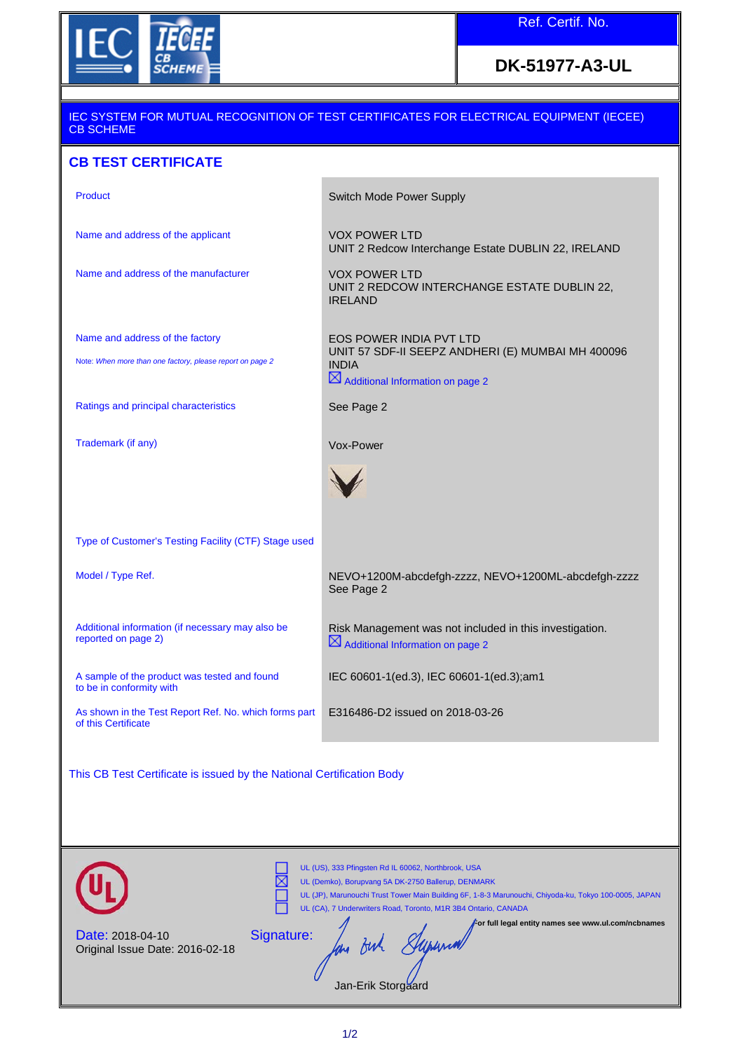

## **DK-51977-A3-UL**

## IEC SYSTEM FOR MUTUAL RECOGNITION OF TEST CERTIFICATES FOR ELECTRICAL EQUIPMENT (IECEE) CB SCHEME

## **CB TEST CERTIFICATE**

| Product                                                                                      | Switch Mode Power Supply                                                                                                                     |
|----------------------------------------------------------------------------------------------|----------------------------------------------------------------------------------------------------------------------------------------------|
| Name and address of the applicant                                                            | <b>VOX POWER LTD</b><br>UNIT 2 Redcow Interchange Estate DUBLIN 22, IRELAND                                                                  |
| Name and address of the manufacturer                                                         | <b>VOX POWER LTD</b><br>UNIT 2 REDCOW INTERCHANGE ESTATE DUBLIN 22,<br><b>IRELAND</b>                                                        |
| Name and address of the factory<br>Note: When more than one factory, please report on page 2 | EOS POWER INDIA PVT LTD<br>UNIT 57 SDF-II SEEPZ ANDHERI (E) MUMBAI MH 400096<br><b>INDIA</b><br>$\boxtimes$ Additional Information on page 2 |
| Ratings and principal characteristics                                                        | See Page 2                                                                                                                                   |
| Trademark (if any)                                                                           | Vox-Power                                                                                                                                    |
| Type of Customer's Testing Facility (CTF) Stage used                                         |                                                                                                                                              |
| Model / Type Ref.                                                                            | NEVO+1200M-abcdefgh-zzzz, NEVO+1200ML-abcdefgh-zzzz<br>See Page 2                                                                            |
| Additional information (if necessary may also be<br>reported on page 2)                      | Risk Management was not included in this investigation.<br>$\boxtimes$ Additional Information on page 2                                      |
| A sample of the product was tested and found<br>to be in conformity with                     | IEC 60601-1(ed.3), IEC 60601-1(ed.3);am1                                                                                                     |
| As shown in the Test Report Ref. No. which forms part<br>of this Certificate                 | E316486-D2 issued on 2018-03-26                                                                                                              |
| This CB Test Certificate is issued by the National Certification Body                        |                                                                                                                                              |

UL (US), 333 Pfingsten Rd IL 60062, Northbrook, USA 岗 UL (Demko), Borupvang 5A DK-2750 Ballerup, DENMARK UL (JP), Marunouchi Trust Tower Main Building br, 1-0-5 Metalwaching<br>UL (CA), 7 Underwriters Road, Toronto, M1R 3B4 Ontario, CANADA<br>For full legal ent UL (JP), Marunouchi Trust Tower Main Building 6F, 1-8-3 Marunouchi, Chiyoda-ku, Tokyo 100-0005, JAPAN **For full legal entity names see www.ul.com/ncbnames** Signature: Date: 2018-04-10  $\mathscr{S}_{\mathscr{C}}$ long Buh Original Issue Date: 2016-02-18 Jan-Erik Storgaard